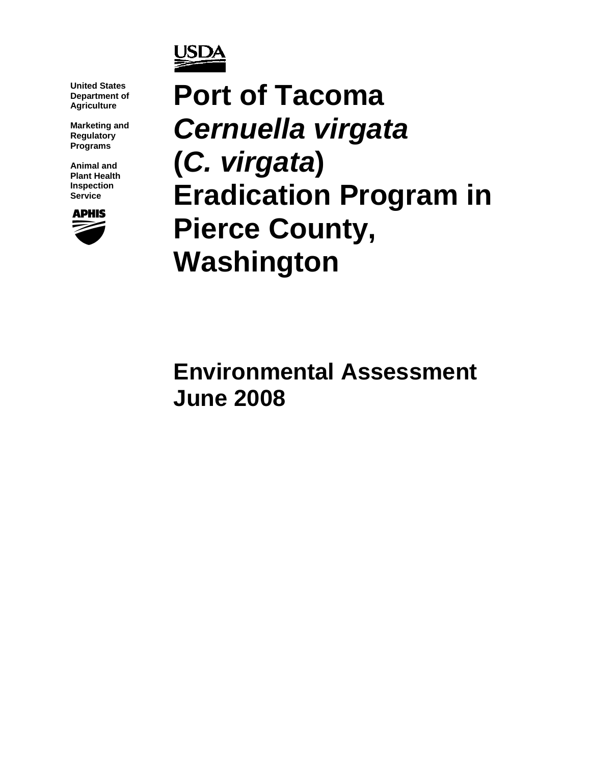

**United States Department of Agriculture** 

**Marketing and Regulatory Programs** 

**Animal and Plant Health Inspection Service** 



**Port of Tacoma**  *Cernuella virgata*  **(***C. virgata***) Eradication Program in Pierce County, Washington** 

**Environmental Assessment June 2008**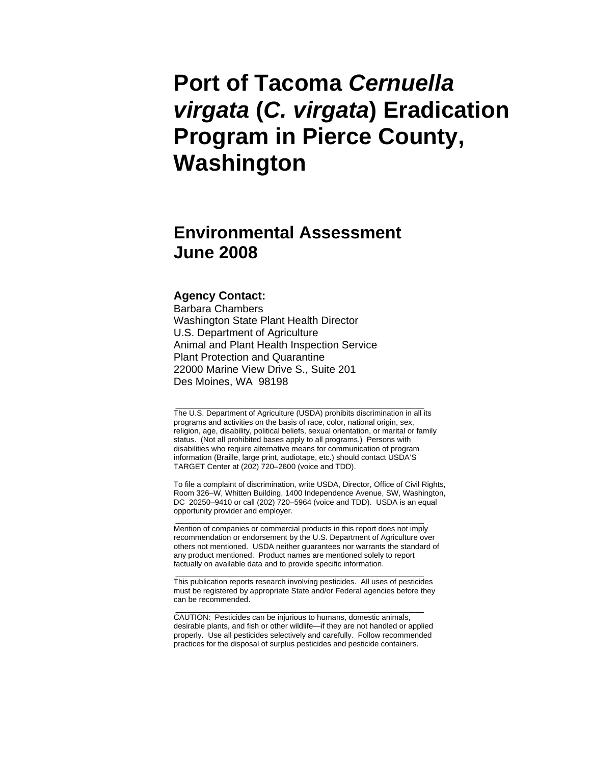# **Port of Tacoma** *Cernuella virgata* **(***C. virgata***) Eradication Program in Pierce County, Washington**

## **Environmental Assessment June 2008**

#### **Agency Contact:**

Barbara Chambers Washington State Plant Health Director U.S. Department of Agriculture Animal and Plant Health Inspection Service Plant Protection and Quarantine 22000 Marine View Drive S., Suite 201 Des Moines, WA 98198

The U.S. Department of Agriculture (USDA) prohibits discrimination in all its programs and activities on the basis of race, color, national origin, sex, religion, age, disability, political beliefs, sexual orientation, or marital or family status. (Not all prohibited bases apply to all programs.) Persons with disabilities who require alternative means for communication of program information (Braille, large print, audiotape, etc.) should contact USDA'S TARGET Center at (202) 720–2600 (voice and TDD).

\_\_\_\_\_\_\_\_\_\_\_\_\_\_\_\_\_\_\_\_\_\_\_\_\_\_\_\_\_\_\_\_\_\_\_\_\_\_\_\_\_\_\_\_\_\_\_\_\_\_\_\_\_\_\_\_\_\_

To file a complaint of discrimination, write USDA, Director, Office of Civil Rights, Room 326–W, Whitten Building, 1400 Independence Avenue, SW, Washington, DC 20250–9410 or call (202) 720–5964 (voice and TDD). USDA is an equal opportunity provider and employer. \_\_\_\_\_\_\_\_\_\_\_\_\_\_\_\_\_\_\_\_\_\_\_\_\_\_\_\_\_\_\_\_\_\_\_\_\_\_\_\_\_\_\_\_\_\_\_\_\_\_\_\_\_\_\_\_\_\_

Mention of companies or commercial products in this report does not imply recommendation or endorsement by the U.S. Department of Agriculture over others not mentioned. USDA neither guarantees nor warrants the standard of any product mentioned. Product names are mentioned solely to report factually on available data and to provide specific information.

This publication reports research involving pesticides. All uses of pesticides must be registered by appropriate State and/or Federal agencies before they can be recommended.

\_\_\_\_\_\_\_\_\_\_\_\_\_\_\_\_\_\_\_\_\_\_\_\_\_\_\_\_\_\_\_\_\_\_\_\_\_\_\_\_\_\_\_\_\_\_\_\_\_\_\_\_\_\_\_\_\_\_

\_\_\_\_\_\_\_\_\_\_\_\_\_\_\_\_\_\_\_\_\_\_\_\_\_\_\_\_\_\_\_\_\_\_\_\_\_\_\_\_\_\_\_\_\_\_\_\_\_\_\_\_\_\_\_\_\_\_

CAUTION: Pesticides can be injurious to humans, domestic animals, desirable plants, and fish or other wildlife—if they are not handled or applied properly. Use all pesticides selectively and carefully. Follow recommended practices for the disposal of surplus pesticides and pesticide containers.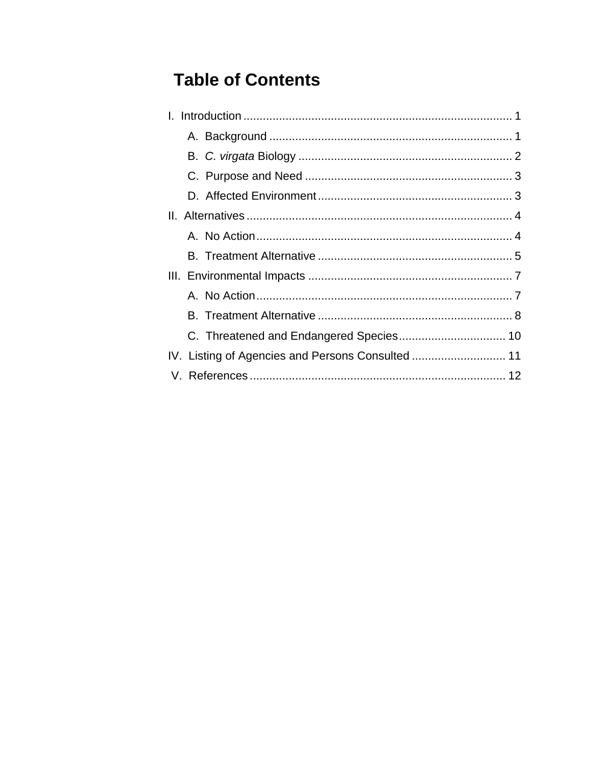# **Table of Contents**

| IV. Listing of Agencies and Persons Consulted  11 |  |
|---------------------------------------------------|--|
|                                                   |  |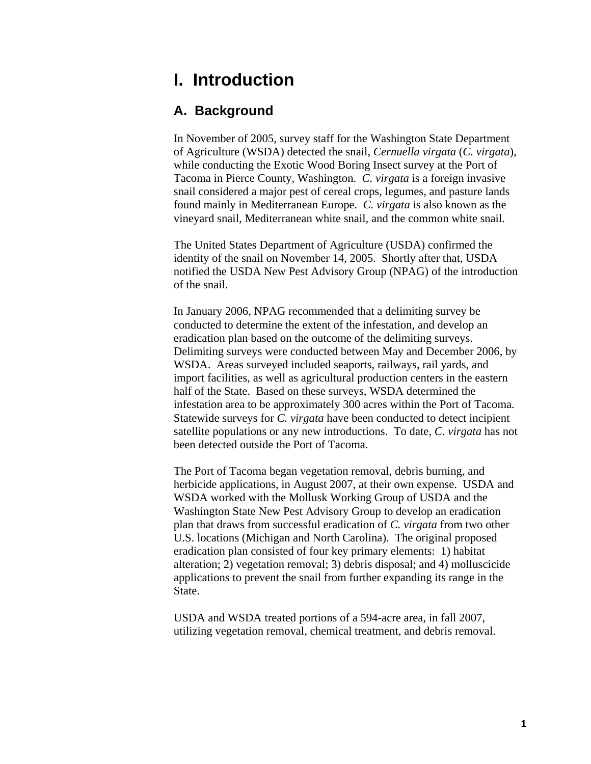## <span id="page-3-0"></span>**I. Introduction**

#### **A. Background**

In November of 2005, survey staff for the Washington State Department of Agriculture (WSDA) detected the snail, *Cernuella virgata* (*C. virgata*), while conducting the Exotic Wood Boring Insect survey at the Port of Tacoma in Pierce County, Washington. *C. virgata* is a foreign invasive snail considered a major pest of cereal crops, legumes, and pasture lands found mainly in Mediterranean Europe. *C. virgata* is also known as the vineyard snail, Mediterranean white snail, and the common white snail.

The United States Department of Agriculture (USDA) confirmed the identity of the snail on November 14, 2005. Shortly after that, USDA notified the USDA New Pest Advisory Group (NPAG) of the introduction of the snail.

In January 2006, NPAG recommended that a delimiting survey be conducted to determine the extent of the infestation, and develop an eradication plan based on the outcome of the delimiting surveys. Delimiting surveys were conducted between May and December 2006, by WSDA. Areas surveyed included seaports, railways, rail yards, and import facilities, as well as agricultural production centers in the eastern half of the State. Based on these surveys, WSDA determined the infestation area to be approximately 300 acres within the Port of Tacoma. Statewide surveys for *C. virgata* have been conducted to detect incipient satellite populations or any new introductions. To date, *C. virgata* has not been detected outside the Port of Tacoma.

The Port of Tacoma began vegetation removal, debris burning, and herbicide applications, in August 2007, at their own expense. USDA and WSDA worked with the Mollusk Working Group of USDA and the Washington State New Pest Advisory Group to develop an eradication plan that draws from successful eradication of *C. virgata* from two other U.S. locations (Michigan and North Carolina). The original proposed eradication plan consisted of four key primary elements: 1) habitat alteration; 2) vegetation removal; 3) debris disposal; and 4) molluscicide applications to prevent the snail from further expanding its range in the State.

USDA and WSDA treated portions of a 594-acre area, in fall 2007, utilizing vegetation removal, chemical treatment, and debris removal.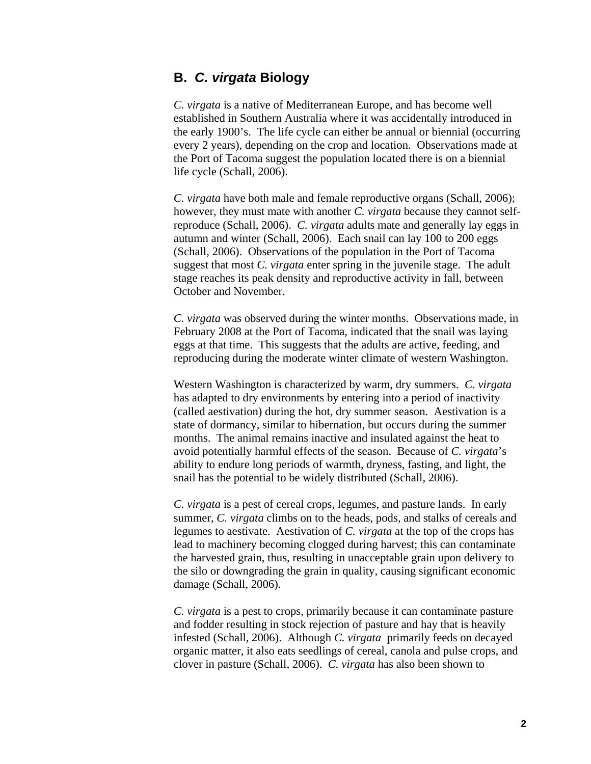#### <span id="page-4-0"></span>**B.** *C. virgata* **Biology**

*C. virgata* is a native of Mediterranean Europe, and has become well established in Southern Australia where it was accidentally introduced in the early 1900's. The life cycle can either be annual or biennial (occurring every 2 years), depending on the crop and location. Observations made at the Port of Tacoma suggest the population located there is on a biennial life cycle (Schall, 2006).

*C. virgata* have both male and female reproductive organs (Schall, 2006); however, they must mate with another *C. virgata* because they cannot selfreproduce (Schall, 2006). *C. virgata* adults mate and generally lay eggs in autumn and winter (Schall, 2006). Each snail can lay 100 to 200 eggs (Schall, 2006). Observations of the population in the Port of Tacoma suggest that most *C. virgata* enter spring in the juvenile stage. The adult stage reaches its peak density and reproductive activity in fall, between October and November.

*C. virgata* was observed during the winter months. Observations made, in February 2008 at the Port of Tacoma, indicated that the snail was laying eggs at that time. This suggests that the adults are active, feeding, and reproducing during the moderate winter climate of western Washington.

Western Washington is characterized by warm, dry summers. *C. virgata* has adapted to dry environments by entering into a period of inactivity (called aestivation) during the hot, dry summer season. Aestivation is a state of dormancy, similar to hibernation, but occurs during the summer months. The animal remains inactive and insulated against the heat to avoid potentially harmful effects of the season. Because of *C. virgata*'s ability to endure long periods of warmth, dryness, fasting, and light, the snail has the potential to be widely distributed (Schall, 2006).

*C. virgata* is a pest of cereal crops, legumes, and pasture lands. In early summer, *C. virgata* climbs on to the heads, pods, and stalks of cereals and legumes to aestivate. Aestivation of *C. virgata* at the top of the crops has lead to machinery becoming clogged during harvest; this can contaminate the harvested grain, thus, resulting in unacceptable grain upon delivery to the silo or downgrading the grain in quality, causing significant economic damage (Schall, 2006).

*C. virgata* is a pest to crops, primarily because it can contaminate pasture and fodder resulting in stock rejection of pasture and hay that is heavily infested (Schall, 2006). Although *C. virgata* primarily feeds on decayed organic matter, it also eats seedlings of cereal, canola and pulse crops, and clover in pasture (Schall, 2006). *C. virgata* has also been shown to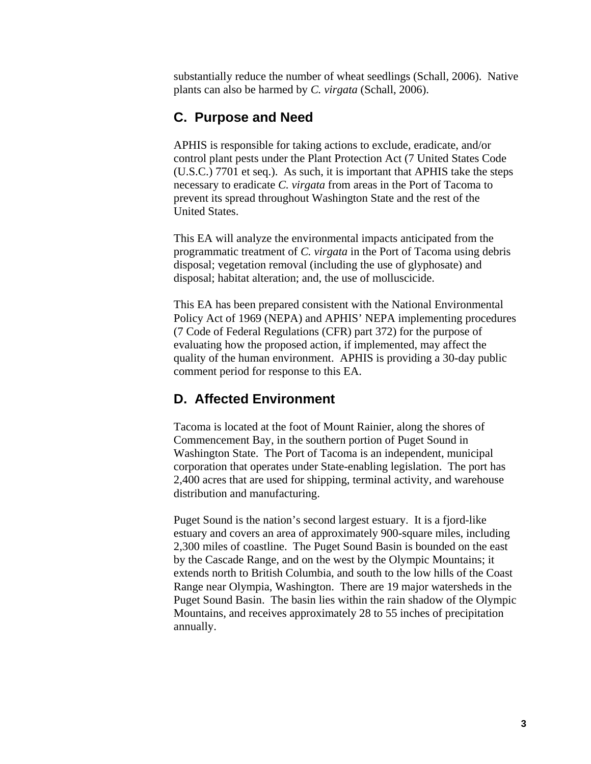<span id="page-5-0"></span>substantially reduce the number of wheat seedlings (Schall, 2006). Native plants can also be harmed by *C. virgata* (Schall, 2006).

#### **C. Purpose and Need**

APHIS is responsible for taking actions to exclude, eradicate, and/or control plant pests under the Plant Protection Act (7 United States Code (U.S.C.) 7701 et seq.). As such, it is important that APHIS take the steps necessary to eradicate *C. virgata* from areas in the Port of Tacoma to prevent its spread throughout Washington State and the rest of the United States.

This EA will analyze the environmental impacts anticipated from the programmatic treatment of *C. virgata* in the Port of Tacoma using debris disposal; vegetation removal (including the use of glyphosate) and disposal; habitat alteration; and, the use of molluscicide.

This EA has been prepared consistent with the National Environmental Policy Act of 1969 (NEPA) and APHIS' NEPA implementing procedures (7 Code of Federal Regulations (CFR) part 372) for the purpose of evaluating how the proposed action, if implemented, may affect the quality of the human environment. APHIS is providing a 30-day public comment period for response to this EA.

#### **D. Affected Environment**

Tacoma is located at the foot of Mount Rainier, along the shores of Commencement Bay, in the southern portion of Puget Sound in Washington State. The Port of Tacoma is an independent, municipal corporation that operates under State-enabling legislation. The port has 2,400 acres that are used for shipping, terminal activity, and warehouse distribution and manufacturing.

Puget Sound is the nation's second largest estuary. It is a fjord-like estuary and covers an area of approximately 900-square miles, including 2,300 miles of coastline. The Puget Sound Basin is bounded on the east by the Cascade Range, and on the west by the Olympic Mountains; it extends north to British Columbia, and south to the low hills of the Coast Range near Olympia, Washington. There are 19 major watersheds in the Puget Sound Basin. The basin lies within the rain shadow of the Olympic Mountains, and receives approximately 28 to 55 inches of precipitation annually.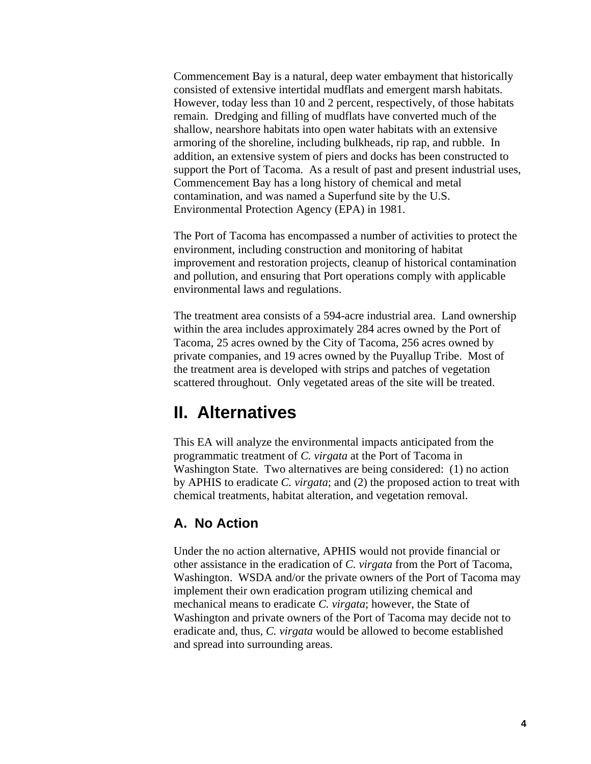<span id="page-6-0"></span>Commencement Bay is a natural, deep water embayment that historically consisted of extensive intertidal mudflats and emergent marsh habitats. However, today less than 10 and 2 percent, respectively, of those habitats remain. Dredging and filling of mudflats have converted much of the shallow, nearshore habitats into open water habitats with an extensive armoring of the shoreline, including bulkheads, rip rap, and rubble. In addition, an extensive system of piers and docks has been constructed to support the Port of Tacoma. As a result of past and present industrial uses, Commencement Bay has a long history of chemical and metal contamination, and was named a Superfund site by the U.S. Environmental Protection Agency (EPA) in 1981.

The Port of Tacoma has encompassed a number of activities to protect the environment, including construction and monitoring of habitat improvement and restoration projects, cleanup of historical contamination and pollution, and ensuring that Port operations comply with applicable environmental laws and regulations.

The treatment area consists of a 594-acre industrial area. Land ownership within the area includes approximately 284 acres owned by the Port of Tacoma, 25 acres owned by the City of Tacoma, 256 acres owned by private companies, and 19 acres owned by the Puyallup Tribe. Most of the treatment area is developed with strips and patches of vegetation scattered throughout. Only vegetated areas of the site will be treated.

### **II. Alternatives**

This EA will analyze the environmental impacts anticipated from the programmatic treatment of *C. virgata* at the Port of Tacoma in Washington State. Two alternatives are being considered: (1) no action by APHIS to eradicate *C. virgata*; and (2) the proposed action to treat with chemical treatments, habitat alteration, and vegetation removal.

### **A. No Action**

Under the no action alternative, APHIS would not provide financial or other assistance in the eradication of *C. virgata* from the Port of Tacoma, Washington. WSDA and/or the private owners of the Port of Tacoma may implement their own eradication program utilizing chemical and mechanical means to eradicate *C. virgata*; however, the State of Washington and private owners of the Port of Tacoma may decide not to eradicate and, thus, *C. virgata* would be allowed to become established and spread into surrounding areas.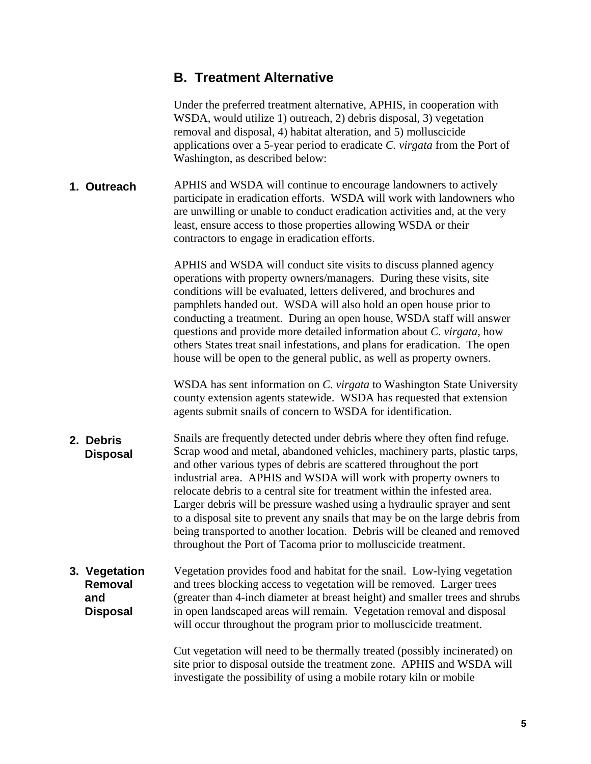### <span id="page-7-0"></span>**B. Treatment Alternative**

Under the preferred treatment alternative, APHIS, in cooperation with WSDA, would utilize 1) outreach, 2) debris disposal, 3) vegetation removal and disposal, 4) habitat alteration, and 5) molluscicide applications over a 5-year period to eradicate *C. virgata* from the Port of Washington, as described below:

APHIS and WSDA will continue to encourage landowners to actively participate in eradication efforts. WSDA will work with landowners who are unwilling or unable to conduct eradication activities and, at the very least, ensure access to those properties allowing WSDA or their contractors to engage in eradication efforts. **1. Outreach** 

> APHIS and WSDA will conduct site visits to discuss planned agency operations with property owners/managers. During these visits, site conditions will be evaluated, letters delivered, and brochures and pamphlets handed out. WSDA will also hold an open house prior to conducting a treatment. During an open house, WSDA staff will answer questions and provide more detailed information about *C. virgata*, how others States treat snail infestations, and plans for eradication. The open house will be open to the general public, as well as property owners.

WSDA has sent information on *C. virgata* to Washington State University county extension agents statewide. WSDA has requested that extension agents submit snails of concern to WSDA for identification.

- Snails are frequently detected under debris where they often find refuge. Scrap wood and metal, abandoned vehicles, machinery parts, plastic tarps, and other various types of debris are scattered throughout the port industrial area. APHIS and WSDA will work with property owners to relocate debris to a central site for treatment within the infested area. Larger debris will be pressure washed using a hydraulic sprayer and sent to a disposal site to prevent any snails that may be on the large debris from being transported to another location. Debris will be cleaned and removed throughout the Port of Tacoma prior to molluscicide treatment. **2. Debris Disposal**
- Vegetation provides food and habitat for the snail. Low-lying vegetation and trees blocking access to vegetation will be removed. Larger trees **3. Vegetation Removal and Disposal**  (greater than 4-inch diameter at breast height) and smaller trees and shrubs in open landscaped areas will remain. Vegetation removal and disposal will occur throughout the program prior to molluscicide treatment.

Cut vegetation will need to be thermally treated (possibly incinerated) on site prior to disposal outside the treatment zone. APHIS and WSDA will investigate the possibility of using a mobile rotary kiln or mobile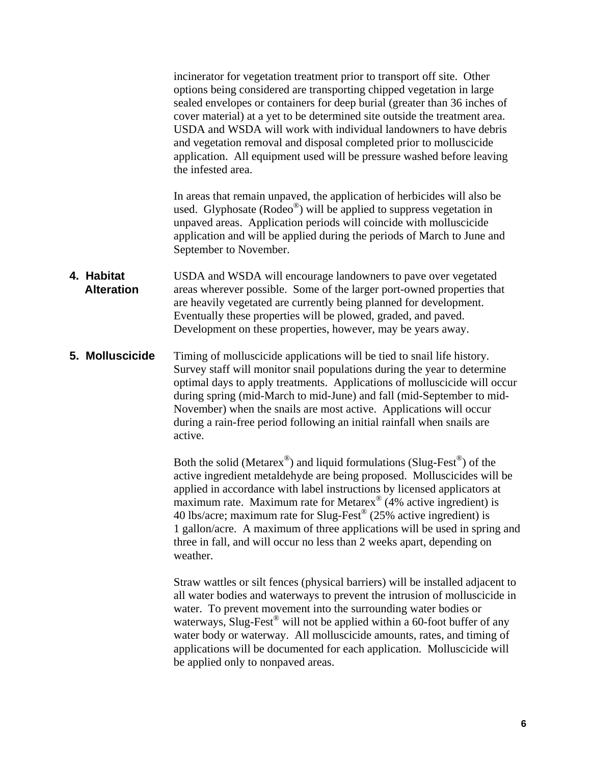incinerator for vegetation treatment prior to transport off site. Other options being considered are transporting chipped vegetation in large sealed envelopes or containers for deep burial (greater than 36 inches of cover material) at a yet to be determined site outside the treatment area. USDA and WSDA will work with individual landowners to have debris and vegetation removal and disposal completed prior to molluscicide application. All equipment used will be pressure washed before leaving the infested area.

In areas that remain unpaved, the application of herbicides will also be used. Glyphosate (Rodeo®) will be applied to suppress vegetation in unpaved areas. Application periods will coincide with molluscicide application and will be applied during the periods of March to June and September to November.

- USDA and WSDA will encourage landowners to pave over vegetated areas wherever possible. Some of the larger port-owned properties that are heavily vegetated are currently being planned for development. Eventually these properties will be plowed, graded, and paved. Development on these properties, however, may be years away. **4. Habitat Alteration**
- Timing of molluscicide applications will be tied to snail life history. Survey staff will monitor snail populations during the year to determine optimal days to apply treatments. Applications of molluscicide will occur during spring (mid-March to mid-June) and fall (mid-September to mid-November) when the snails are most active. Applications will occur during a rain-free period following an initial rainfall when snails are active. **5. Molluscicide**

Both the solid (Metarex<sup>®</sup>) and liquid formulations (Slug-Fest<sup>®</sup>) of the active ingredient metaldehyde are being proposed. Molluscicides will be applied in accordance with label instructions by licensed applicators at maximum rate. Maximum rate for Metarex<sup>®</sup> (4% active ingredient) is 40 lbs/acre; maximum rate for Slug-Fest<sup>®</sup> (25% active ingredient) is 1 gallon/acre. A maximum of three applications will be used in spring and three in fall, and will occur no less than 2 weeks apart, depending on weather.

Straw wattles or silt fences (physical barriers) will be installed adjacent to all water bodies and waterways to prevent the intrusion of molluscicide in water. To prevent movement into the surrounding water bodies or waterways, Slug-Fest<sup>®</sup> will not be applied within a 60-foot buffer of any water body or waterway. All molluscicide amounts, rates, and timing of applications will be documented for each application. Molluscicide will be applied only to nonpaved areas.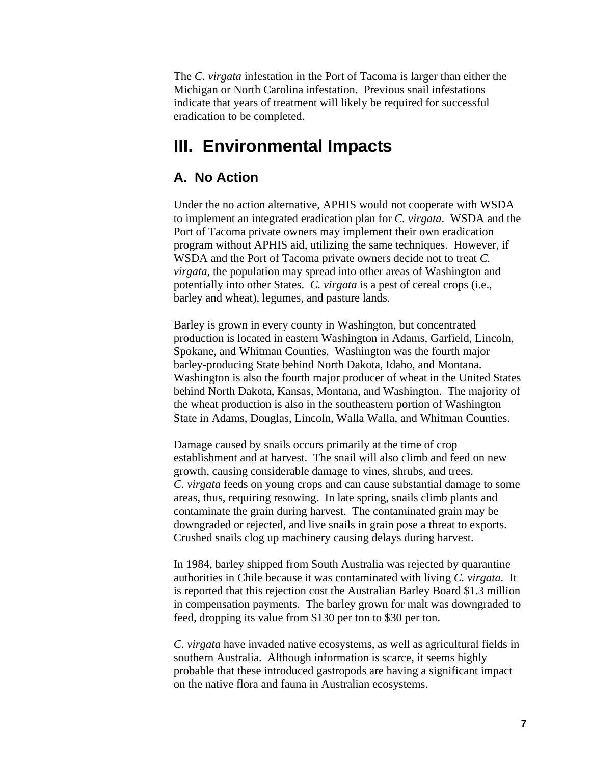<span id="page-9-0"></span>The *C. virgata* infestation in the Port of Tacoma is larger than either the Michigan or North Carolina infestation. Previous snail infestations indicate that years of treatment will likely be required for successful eradication to be completed.

### **III. Environmental Impacts**

#### **A. No Action**

Under the no action alternative, APHIS would not cooperate with WSDA to implement an integrated eradication plan for *C. virgata*. WSDA and the Port of Tacoma private owners may implement their own eradication program without APHIS aid, utilizing the same techniques. However, if WSDA and the Port of Tacoma private owners decide not to treat *C. virgata*, the population may spread into other areas of Washington and potentially into other States. *C. virgata* is a pest of cereal crops (i.e., barley and wheat), legumes, and pasture lands.

Barley is grown in every county in Washington, but concentrated production is located in eastern Washington in Adams, Garfield, Lincoln, Spokane, and Whitman Counties. Washington was the fourth major barley-producing State behind North Dakota, Idaho, and Montana. Washington is also the fourth major producer of wheat in the United States behind North Dakota, Kansas, Montana, and Washington. The majority of the wheat production is also in the southeastern portion of Washington State in Adams, Douglas, Lincoln, Walla Walla, and Whitman Counties.

Damage caused by snails occurs primarily at the time of crop establishment and at harvest. The snail will also climb and feed on new growth, causing considerable damage to vines, shrubs, and trees. *C. virgata* feeds on young crops and can cause substantial damage to some areas, thus, requiring resowing. In late spring, snails climb plants and contaminate the grain during harvest. The contaminated grain may be downgraded or rejected, and live snails in grain pose a threat to exports. Crushed snails clog up machinery causing delays during harvest.

In 1984, barley shipped from South Australia was rejected by quarantine authorities in Chile because it was contaminated with living *C. virgata.* It is reported that this rejection cost the Australian Barley Board \$1.3 million in compensation payments. The barley grown for malt was downgraded to feed, dropping its value from \$130 per ton to \$30 per ton.

*C. virgata* have invaded native ecosystems, as well as agricultural fields in southern Australia. Although information is scarce, it seems highly probable that these introduced gastropods are having a significant impact on the native flora and fauna in Australian ecosystems.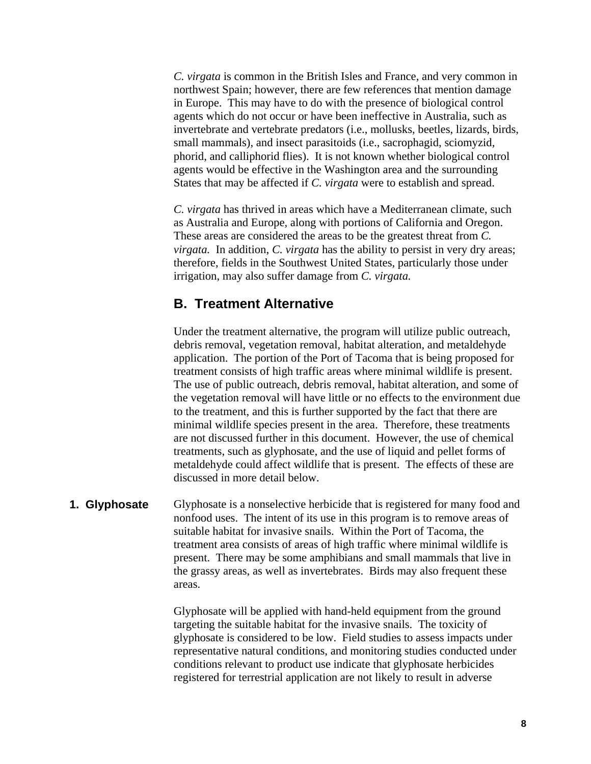<span id="page-10-0"></span>*C. virgata* is common in the British Isles and France, and very common in northwest Spain; however, there are few references that mention damage in Europe. This may have to do with the presence of biological control agents which do not occur or have been ineffective in Australia, such as invertebrate and vertebrate predators (i.e., mollusks, beetles, lizards, birds, small mammals), and insect parasitoids (i.e., sacrophagid, sciomyzid, phorid, and calliphorid flies). It is not known whether biological control agents would be effective in the Washington area and the surrounding States that may be affected if *C. virgata* were to establish and spread.

*C. virgata* has thrived in areas which have a Mediterranean climate, such as Australia and Europe, along with portions of California and Oregon. These areas are considered the areas to be the greatest threat from *C. virgata.* In addition, *C. virgata* has the ability to persist in very dry areas; therefore, fields in the Southwest United States, particularly those under irrigation, may also suffer damage from *C. virgata.* 

### **B. Treatment Alternative**

Under the treatment alternative, the program will utilize public outreach, debris removal, vegetation removal, habitat alteration, and metaldehyde application. The portion of the Port of Tacoma that is being proposed for treatment consists of high traffic areas where minimal wildlife is present. The use of public outreach, debris removal, habitat alteration, and some of the vegetation removal will have little or no effects to the environment due to the treatment, and this is further supported by the fact that there are minimal wildlife species present in the area. Therefore, these treatments are not discussed further in this document. However, the use of chemical treatments, such as glyphosate, and the use of liquid and pellet forms of metaldehyde could affect wildlife that is present. The effects of these are discussed in more detail below.

#### **1. Glyphosate**

Glyphosate is a nonselective herbicide that is registered for many food and nonfood uses. The intent of its use in this program is to remove areas of suitable habitat for invasive snails. Within the Port of Tacoma, the treatment area consists of areas of high traffic where minimal wildlife is present. There may be some amphibians and small mammals that live in the grassy areas, as well as invertebrates. Birds may also frequent these areas.

Glyphosate will be applied with hand-held equipment from the ground targeting the suitable habitat for the invasive snails. The toxicity of glyphosate is considered to be low. Field studies to assess impacts under representative natural conditions, and monitoring studies conducted under conditions relevant to product use indicate that glyphosate herbicides registered for terrestrial application are not likely to result in adverse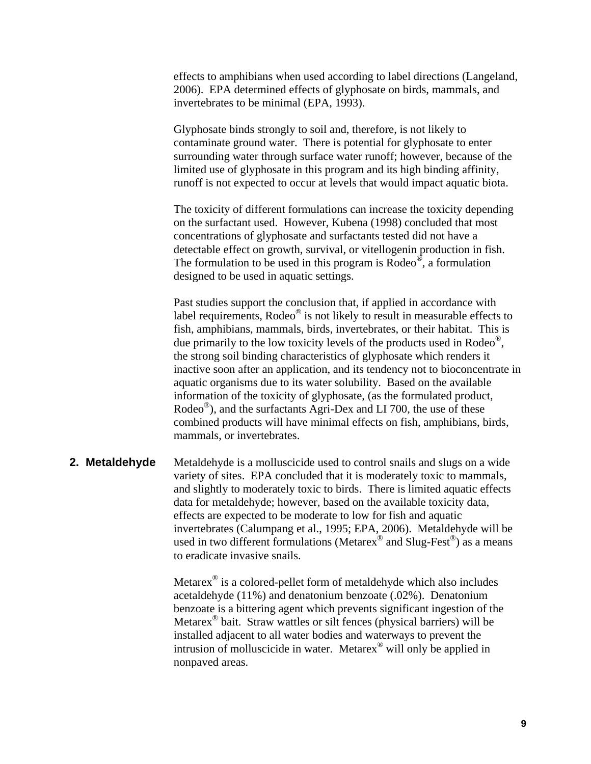effects to amphibians when used according to label directions (Langeland, 2006). EPA determined effects of glyphosate on birds, mammals, and invertebrates to be minimal (EPA, 1993).

Glyphosate binds strongly to soil and, therefore, is not likely to contaminate ground water. There is potential for glyphosate to enter surrounding water through surface water runoff; however, because of the limited use of glyphosate in this program and its high binding affinity, runoff is not expected to occur at levels that would impact aquatic biota.

The toxicity of different formulations can increase the toxicity depending on the surfactant used. However, Kubena (1998) concluded that most concentrations of glyphosate and surfactants tested did not have a detectable effect on growth, survival, or vitellogenin production in fish. The formulation to be used in this program is  $\text{Rodeo}^{\circledcirc}$ , a formulation designed to be used in aquatic settings.

Past studies support the conclusion that, if applied in accordance with label requirements, Rodeo<sup>®</sup> is not likely to result in measurable effects to fish, amphibians, mammals, birds, invertebrates, or their habitat. This is due primarily to the low toxicity levels of the products used in Rodeo®, the strong soil binding characteristics of glyphosate which renders it inactive soon after an application, and its tendency not to bioconcentrate in aquatic organisms due to its water solubility. Based on the available information of the toxicity of glyphosate, (as the formulated product, Rodeo®), and the surfactants Agri-Dex and LI 700, the use of these combined products will have minimal effects on fish, amphibians, birds, mammals, or invertebrates.

#### Metaldehyde is a molluscicide used to control snails and slugs on a wide variety of sites. EPA concluded that it is moderately toxic to mammals, and slightly to moderately toxic to birds. There is limited aquatic effects data for metaldehyde; however, based on the available toxicity data, effects are expected to be moderate to low for fish and aquatic invertebrates (Calumpang et al., 1995; EPA, 2006). Metaldehyde will be used in two different formulations (Metarex<sup>®</sup> and Slug-Fest<sup>®</sup>) as a means to eradicate invasive snails. **2. Metaldehyde**

Metarex® is a colored-pellet form of metaldehyde which also includes acetaldehyde (11%) and denatonium benzoate (.02%). Denatonium benzoate is a bittering agent which prevents significant ingestion of the Metarex® bait. Straw wattles or silt fences (physical barriers) will be installed adjacent to all water bodies and waterways to prevent the intrusion of molluscicide in water. Metarex® will only be applied in nonpaved areas.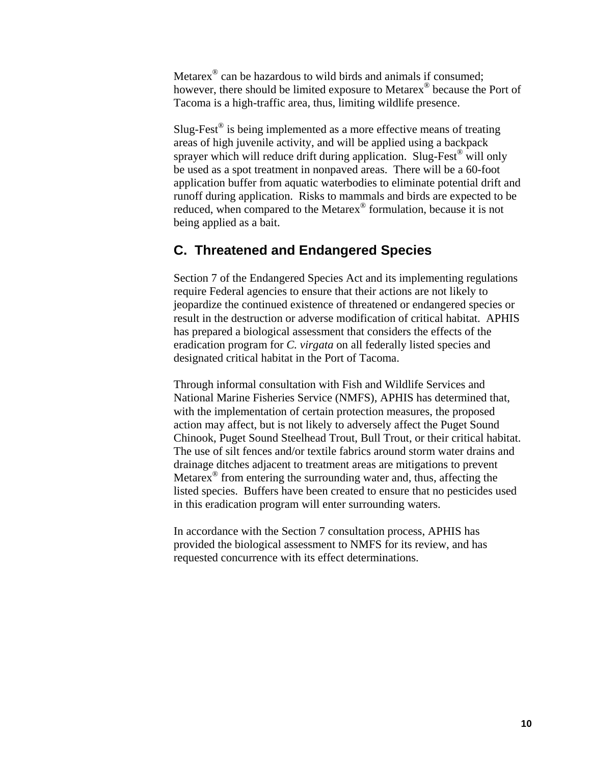<span id="page-12-0"></span>Metarex® can be hazardous to wild birds and animals if consumed; however, there should be limited exposure to Metarex<sup>®</sup> because the Port of Tacoma is a high-traffic area, thus, limiting wildlife presence.

Slug-Fest<sup>®</sup> is being implemented as a more effective means of treating areas of high juvenile activity, and will be applied using a backpack sprayer which will reduce drift during application. Slug-Fest<sup>®</sup> will only be used as a spot treatment in nonpaved areas. There will be a 60-foot application buffer from aquatic waterbodies to eliminate potential drift and runoff during application. Risks to mammals and birds are expected to be reduced, when compared to the Metarex® formulation, because it is not being applied as a bait.

### **C. Threatened and Endangered Species**

Section 7 of the Endangered Species Act and its implementing regulations require Federal agencies to ensure that their actions are not likely to jeopardize the continued existence of threatened or endangered species or result in the destruction or adverse modification of critical habitat. APHIS has prepared a biological assessment that considers the effects of the eradication program for *C. virgata* on all federally listed species and designated critical habitat in the Port of Tacoma.

Through informal consultation with Fish and Wildlife Services and National Marine Fisheries Service (NMFS), APHIS has determined that, with the implementation of certain protection measures, the proposed action may affect, but is not likely to adversely affect the Puget Sound Chinook, Puget Sound Steelhead Trout, Bull Trout, or their critical habitat. The use of silt fences and/or textile fabrics around storm water drains and drainage ditches adjacent to treatment areas are mitigations to prevent Metarex® from entering the surrounding water and, thus, affecting the listed species. Buffers have been created to ensure that no pesticides used in this eradication program will enter surrounding waters.

In accordance with the Section 7 consultation process, APHIS has provided the biological assessment to NMFS for its review, and has requested concurrence with its effect determinations.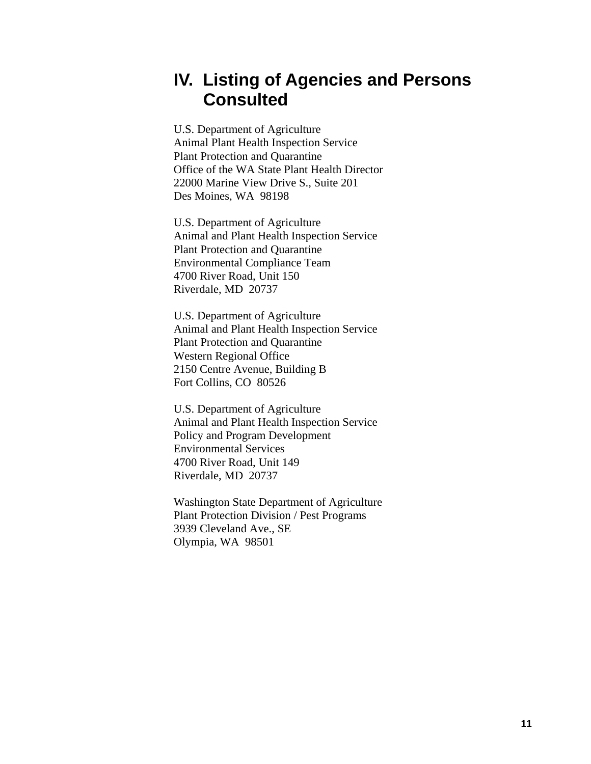# <span id="page-13-0"></span>**IV. Listing of Agencies and Persons Consulted**

U.S. Department of Agriculture Animal Plant Health Inspection Service Plant Protection and Quarantine Office of the WA State Plant Health Director 22000 Marine View Drive S., Suite 201 Des Moines, WA 98198

U.S. Department of Agriculture Animal and Plant Health Inspection Service Plant Protection and Quarantine Environmental Compliance Team 4700 River Road, Unit 150 Riverdale, MD 20737

U.S. Department of Agriculture Animal and Plant Health Inspection Service Plant Protection and Quarantine Western Regional Office 2150 Centre Avenue, Building B Fort Collins, CO 80526

U.S. Department of Agriculture Animal and Plant Health Inspection Service Policy and Program Development Environmental Services 4700 River Road, Unit 149 Riverdale, MD 20737

Washington State Department of Agriculture Plant Protection Division / Pest Programs 3939 Cleveland Ave., SE Olympia, WA 98501